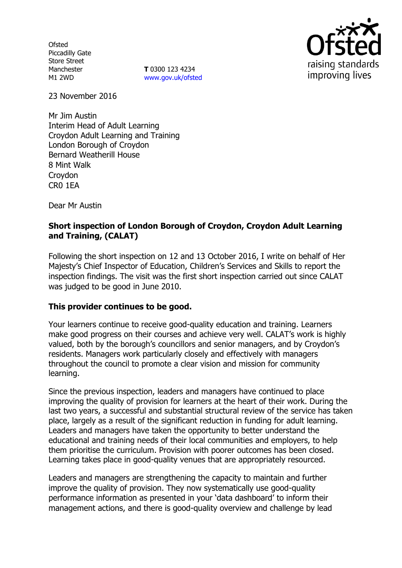Ofsted Piccadilly Gate Store Street Manchester M1 2WD

**T** 0300 123 4234 [www.gov.uk/ofsted](http://www.gov.uk/ofsted)



23 November 2016

Mr Jim Austin Interim Head of Adult Learning Croydon Adult Learning and Training London Borough of Croydon Bernard Weatherill House 8 Mint Walk **Croydon** CR0 1EA

Dear Mr Austin

### **Short inspection of London Borough of Croydon, Croydon Adult Learning and Training, (CALAT)**

Following the short inspection on 12 and 13 October 2016, I write on behalf of Her Majesty's Chief Inspector of Education, Children's Services and Skills to report the inspection findings. The visit was the first short inspection carried out since CALAT was judged to be good in June 2010.

### **This provider continues to be good.**

Your learners continue to receive good-quality education and training. Learners make good progress on their courses and achieve very well. CALAT's work is highly valued, both by the borough's councillors and senior managers, and by Croydon's residents. Managers work particularly closely and effectively with managers throughout the council to promote a clear vision and mission for community learning.

Since the previous inspection, leaders and managers have continued to place improving the quality of provision for learners at the heart of their work. During the last two years, a successful and substantial structural review of the service has taken place, largely as a result of the significant reduction in funding for adult learning. Leaders and managers have taken the opportunity to better understand the educational and training needs of their local communities and employers, to help them prioritise the curriculum. Provision with poorer outcomes has been closed. Learning takes place in good-quality venues that are appropriately resourced.

Leaders and managers are strengthening the capacity to maintain and further improve the quality of provision. They now systematically use good-quality performance information as presented in your 'data dashboard' to inform their management actions, and there is good-quality overview and challenge by lead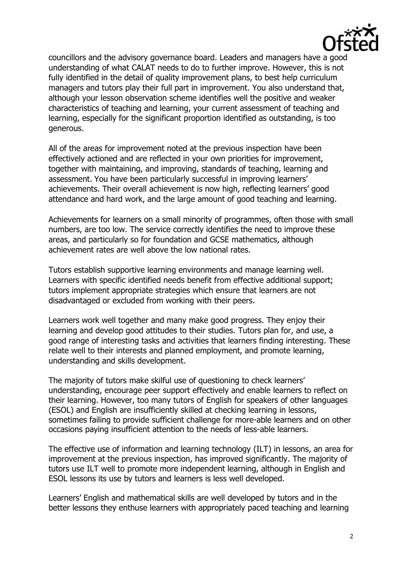

councillors and the advisory governance board. Leaders and managers have a good understanding of what CALAT needs to do to further improve. However, this is not fully identified in the detail of quality improvement plans, to best help curriculum managers and tutors play their full part in improvement. You also understand that, although your lesson observation scheme identifies well the positive and weaker characteristics of teaching and learning, your current assessment of teaching and learning, especially for the significant proportion identified as outstanding, is too generous.

All of the areas for improvement noted at the previous inspection have been effectively actioned and are reflected in your own priorities for improvement, together with maintaining, and improving, standards of teaching, learning and assessment. You have been particularly successful in improving learners' achievements. Their overall achievement is now high, reflecting learners' good attendance and hard work, and the large amount of good teaching and learning.

Achievements for learners on a small minority of programmes, often those with small numbers, are too low. The service correctly identifies the need to improve these areas, and particularly so for foundation and GCSE mathematics, although achievement rates are well above the low national rates.

Tutors establish supportive learning environments and manage learning well. Learners with specific identified needs benefit from effective additional support; tutors implement appropriate strategies which ensure that learners are not disadvantaged or excluded from working with their peers.

Learners work well together and many make good progress. They enjoy their learning and develop good attitudes to their studies. Tutors plan for, and use, a good range of interesting tasks and activities that learners finding interesting. These relate well to their interests and planned employment, and promote learning, understanding and skills development.

The majority of tutors make skilful use of questioning to check learners' understanding, encourage peer support effectively and enable learners to reflect on their learning. However, too many tutors of English for speakers of other languages (ESOL) and English are insufficiently skilled at checking learning in lessons, sometimes failing to provide sufficient challenge for more-able learners and on other occasions paying insufficient attention to the needs of less-able learners.

The effective use of information and learning technology (ILT) in lessons, an area for improvement at the previous inspection, has improved significantly. The majority of tutors use ILT well to promote more independent learning, although in English and ESOL lessons its use by tutors and learners is less well developed.

Learners' English and mathematical skills are well developed by tutors and in the better lessons they enthuse learners with appropriately paced teaching and learning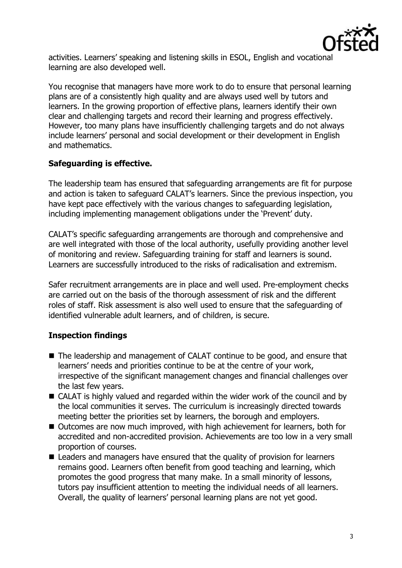

activities. Learners' speaking and listening skills in ESOL, English and vocational learning are also developed well.

You recognise that managers have more work to do to ensure that personal learning plans are of a consistently high quality and are always used well by tutors and learners. In the growing proportion of effective plans, learners identify their own clear and challenging targets and record their learning and progress effectively. However, too many plans have insufficiently challenging targets and do not always include learners' personal and social development or their development in English and mathematics.

### **Safeguarding is effective.**

The leadership team has ensured that safeguarding arrangements are fit for purpose and action is taken to safeguard CALAT's learners. Since the previous inspection, you have kept pace effectively with the various changes to safeguarding legislation, including implementing management obligations under the 'Prevent' duty.

CALAT's specific safeguarding arrangements are thorough and comprehensive and are well integrated with those of the local authority, usefully providing another level of monitoring and review. Safeguarding training for staff and learners is sound. Learners are successfully introduced to the risks of radicalisation and extremism.

Safer recruitment arrangements are in place and well used. Pre-employment checks are carried out on the basis of the thorough assessment of risk and the different roles of staff. Risk assessment is also well used to ensure that the safeguarding of identified vulnerable adult learners, and of children, is secure.

# **Inspection findings**

- The leadership and management of CALAT continue to be good, and ensure that learners' needs and priorities continue to be at the centre of your work, irrespective of the significant management changes and financial challenges over the last few years.
- CALAT is highly valued and regarded within the wider work of the council and by the local communities it serves. The curriculum is increasingly directed towards meeting better the priorities set by learners, the borough and employers.
- Outcomes are now much improved, with high achievement for learners, both for accredited and non-accredited provision. Achievements are too low in a very small proportion of courses.
- Leaders and managers have ensured that the quality of provision for learners remains good. Learners often benefit from good teaching and learning, which promotes the good progress that many make. In a small minority of lessons, tutors pay insufficient attention to meeting the individual needs of all learners. Overall, the quality of learners' personal learning plans are not yet good.